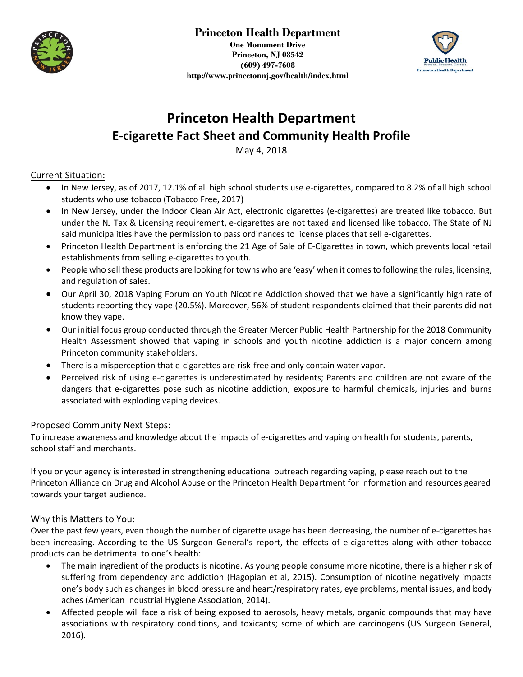

**One Monument Drive Princeton, NJ 08542 (609) 497-7608 http://www.princetonnj.gov/health/index.html**



# **Princeton Health Department E-cigarette Fact Sheet and Community Health Profile**

May 4, 2018

### Current Situation:

- In New Jersey, as of 2017, 12.1% of all high school students use e-cigarettes, compared to 8.2% of all high school students who use tobacco (Tobacco Free, 2017)
- In New Jersey, under the Indoor Clean Air Act, electronic cigarettes (e-cigarettes) are treated like tobacco. But under the NJ Tax & Licensing requirement, e-cigarettes are not taxed and licensed like tobacco. The State of NJ said municipalities have the permission to pass ordinances to license places that sell e-cigarettes.
- Princeton Health Department is enforcing the 21 Age of Sale of E-Cigarettes in town, which prevents local retail establishments from selling e-cigarettes to youth.
- People who sell these products are looking for towns who are 'easy' when it comes to following the rules, licensing, and regulation of sales.
- Our April 30, 2018 Vaping Forum on Youth Nicotine Addiction showed that we have a significantly high rate of students reporting they vape (20.5%). Moreover, 56% of student respondents claimed that their parents did not know they vape.
- Our initial focus group conducted through the Greater Mercer Public Health Partnership for the 2018 Community Health Assessment showed that vaping in schools and youth nicotine addiction is a major concern among Princeton community stakeholders.
- There is a misperception that e-cigarettes are risk-free and only contain water vapor.
- Perceived risk of using e-cigarettes is underestimated by residents; Parents and children are not aware of the dangers that e-cigarettes pose such as nicotine addiction, exposure to harmful chemicals, injuries and burns associated with exploding vaping devices.

### Proposed Community Next Steps:

To increase awareness and knowledge about the impacts of e-cigarettes and vaping on health for students, parents, school staff and merchants.

If you or your agency is interested in strengthening educational outreach regarding vaping, please reach out to the Princeton Alliance on Drug and Alcohol Abuse or the Princeton Health Department for information and resources geared towards your target audience.

### Why this Matters to You:

Over the past few years, even though the number of cigarette usage has been decreasing, the number of e-cigarettes has been increasing. According to the US Surgeon General's report, the effects of e-cigarettes along with other tobacco products can be detrimental to one's health:

- The main ingredient of the products is nicotine. As young people consume more nicotine, there is a higher risk of suffering from dependency and addiction (Hagopian et al, 2015). Consumption of nicotine negatively impacts one's body such as changes in blood pressure and heart/respiratory rates, eye problems, mental issues, and body aches (American Industrial Hygiene Association, 2014).
- Affected people will face a risk of being exposed to aerosols, heavy metals, organic compounds that may have associations with respiratory conditions, and toxicants; some of which are carcinogens (US Surgeon General, 2016).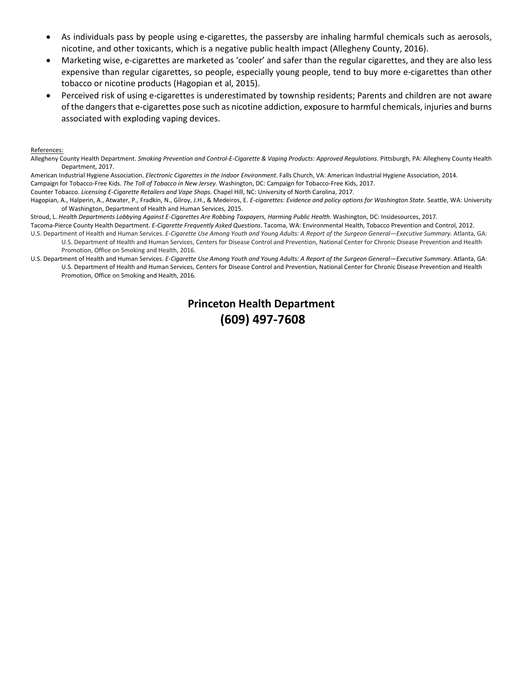- As individuals pass by people using e-cigarettes, the passersby are inhaling harmful chemicals such as aerosols, nicotine, and other toxicants, which is a negative public health impact (Allegheny County, 2016).
- Marketing wise, e-cigarettes are marketed as 'cooler' and safer than the regular cigarettes, and they are also less expensive than regular cigarettes, so people, especially young people, tend to buy more e-cigarettes than other tobacco or nicotine products (Hagopian et al, 2015).
- Perceived risk of using e-cigarettes is underestimated by township residents; Parents and children are not aware of the dangers that e-cigarettes pose such as nicotine addiction, exposure to harmful chemicals, injuries and burns associated with exploding vaping devices.

#### References:

Allegheny County Health Department. *Smoking Prevention and Control-E-Cigarette & Vaping Products: Approved Regulations*. Pittsburgh, PA: Allegheny County Health Department, 2017.

American Industrial Hygiene Association. *Electronic Cigarettes in the Indoor Environment*. Falls Church, VA: American Industrial Hygiene Association, 2014.

Campaign for Tobacco-Free Kids. *The Toll of Tobacco in New Jersey.* Washington, DC: Campaign for Tobacco-Free Kids, 2017. Counter Tobacco. *Licensing E-Cigarette Retailers and Vape Shops.* Chapel Hill, NC: University of North Carolina, 2017.

Hagopian, A., Halperin, A., Atwater, P., Fradkin, N., Gilroy, J.H., & Medeiros, E. *E-cigarettes: Evidence and policy options for Washington State*. Seattle, WA: University of Washington, Department of Health and Human Services, 2015.

Stroud, L. *Health Departments Lobbying Against E-Cigarettes Are Robbing Taxpayers, Harming Public Health.* Washington, DC: Insidesources, 2017.

Tacoma-Pierce County Health Department. *E-Cigarette Frequently Asked Questions*. Tacoma, WA: Environmental Health, Tobacco Prevention and Control, 2012. U.S. Department of Health and Human Services. *E-Cigarette Use Among Youth and Young Adults: A Report of the Surgeon General—Executive Summary.* Atlanta, GA:

U.S. Department of Health and Human Services, Centers for Disease Control and Prevention, National Center for Chronic Disease Prevention and Health Promotion, Office on Smoking and Health, 2016.

U.S. Department of Health and Human Services. *E-Cigarette Use Among Youth and Young Adults: A Report of the Surgeon General—Executive Summary*. Atlanta, GA: U.S. Department of Health and Human Services, Centers for Disease Control and Prevention, National Center for Chronic Disease Prevention and Health Promotion, Office on Smoking and Health, 2016.

### **Princeton Health Department (609) 497-7608**